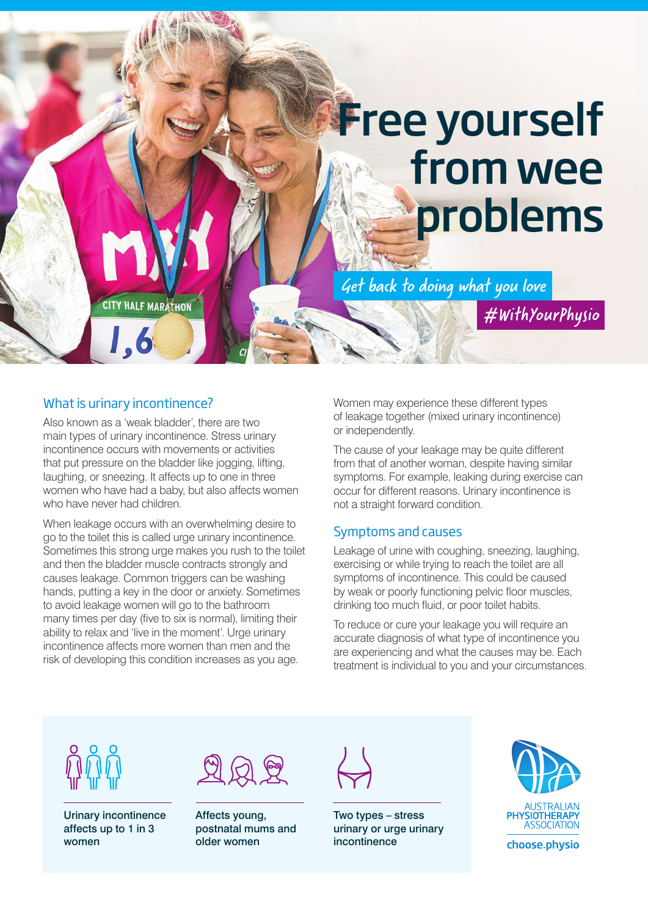# **Free yourself** from wee problems

Get back to doing what you love

**CITY HALF MARATHON** 

#### What is urinary incontinence?

1,6

Also known as a 'weak bladder', there are two main types of urinary incontinence. Stress urinary incontinence occurs with movements or activities that put pressure on the bladder like jogging, lifting, laughing, or sneezing. It affects up to one in three women who have had a baby, but also affects women who have never had children.

When leakage occurs with an overwhelming desire to go to the toilet this is called urge urinary incontinence. Sometimes this strong urge makes you rush to the toilet and then the bladder muscle contracts strongly and causes leakage. Common triggers can be washing hands, putting a key in the door or anxiety. Sometimes to avoid leakage women will go to the bathroom many times per day (five to six is normal), limiting their ability to relax and 'live in the moment'. Urge urinary incontinence affects more women than men and the risk of developing this condition increases as you age.

Women may experience these different types of leakage together (mixed urinary incontinence) or independently.

The cause of your leakage may be quite different from that of another woman, despite having similar symptoms. For example, leaking during exercise can occur for different reasons. Urinary incontinence is not a straight forward condition.

#### Symptoms and causes

Leakage of urine with coughing, sneezing, laughing, exercising or while trying to reach the toilet are all symptoms of incontinence. This could be caused by weak or poorly functioning pelvic floor muscles, drinking too much fluid, or poor toilet habits.

To reduce or cure your leakage you will require an accurate diagnosis of what type of incontinence you are experiencing and what the causes may be. Each treatment is individual to you and your circumstances.



Urinary incontinence affects up to 1 in 3 women

|  | ٠. |  |
|--|----|--|
|--|----|--|

Affects young, postnatal mums and older women

Two types – stress urinary or urge urinary incontinence



#WithYourPhysio

choose.physio